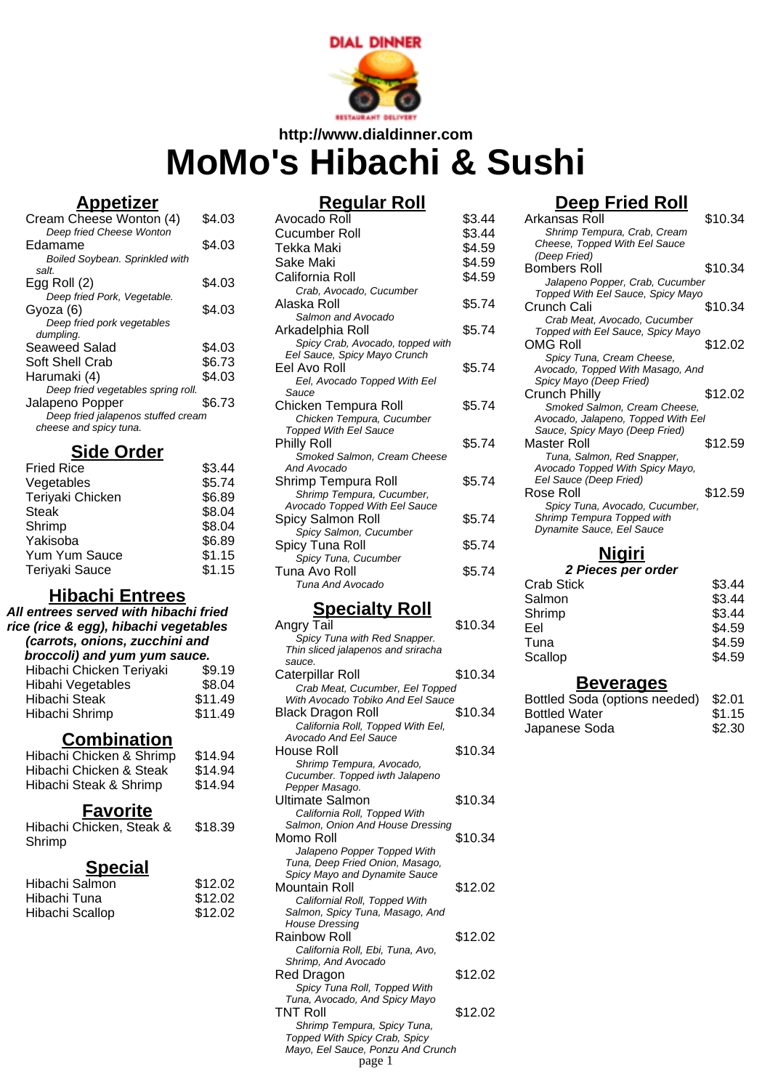

# **http://www.dialdinner.com MoMo's Hibachi & Sushi**

#### **Appetizer**

| Cream Cheese Wonton (4)            | \$4.03 |
|------------------------------------|--------|
| Deep fried Cheese Wonton           |        |
| Edamame                            | \$4.03 |
| Boiled Soybean. Sprinkled with     |        |
| salt.                              |        |
| Egg Roll (2)                       | \$4.03 |
| Deep fried Pork, Vegetable.        |        |
| Gyoza (6)                          | \$4.03 |
| Deep fried pork vegetables         |        |
| dumpling.                          |        |
| Seaweed Salad                      | \$4.03 |
| Soft Shell Crab                    | \$6.73 |
| Harumaki (4)                       | \$4.03 |
| Deep fried vegetables spring roll. |        |
| Jalapeno Popper                    | \$6.73 |
| Deep fried jalapenos stuffed cream |        |
| cheese and spicy tuna.             |        |
|                                    |        |

#### **Side Order**

| <b>Fried Rice</b>     | \$3.44 |
|-----------------------|--------|
| Vegetables            | \$5.74 |
| Teriyaki Chicken      | \$6.89 |
| <b>Steak</b>          | \$8.04 |
| Shrimp                | \$8.04 |
| Yakisoba              | \$6.89 |
| Yum Yum Sauce         | \$1.15 |
| <b>Teriyaki Sauce</b> | \$1.15 |
|                       |        |

# **Hibachi Entrees**

| All entrees served with hibachi fried<br>rice (rice & egg), hibachi vegetables<br>(carrots, onions, zucchini and<br>broccoli) and yum yum sauce. |         |
|--------------------------------------------------------------------------------------------------------------------------------------------------|---------|
| Hibachi Chicken Teriyaki                                                                                                                         | \$9.19  |
| Hibahi Vegetables                                                                                                                                | \$8.04  |
| Hibachi Steak                                                                                                                                    | \$11.49 |
| Hibachi Shrimp                                                                                                                                   | \$11.49 |

## **Combination**

| Hibachi Chicken & Shrimp | \$14.94 |
|--------------------------|---------|
| Hibachi Chicken & Steak  | \$14.94 |
| Hibachi Steak & Shrimp   | \$14.94 |

#### **Favorite**

Hibachi Chicken, Steak & Shrimp \$18.39

#### **Special**

| \$12.02 |
|---------|
| \$12.02 |
| \$12.02 |
|         |

## **Regular Roll**

| Avocado Roll                     | \$3.44 |
|----------------------------------|--------|
| Cucumber Roll                    | \$3.44 |
| Tekka Maki                       | \$4.59 |
| Sake Maki                        | \$4.59 |
| California Roll                  | \$4.59 |
| Crab, Avocado, Cucumber          |        |
| Alaska Roll                      | \$5.74 |
| Salmon and Avocado               |        |
| Arkadelphia Roll                 | \$5.74 |
| Spicy Crab, Avocado, topped with |        |
| Eel Sauce, Spicy Mayo Crunch     |        |
| Eel Avo Roll                     | \$5.74 |
| Eel, Avocado Topped With Eel     |        |
| Sauce                            |        |
| Chicken Tempura Roll             | \$5.74 |
| Chicken Tempura, Cucumber        |        |
| <b>Topped With Eel Sauce</b>     |        |
| Philly Roll                      | \$5.74 |
| Smoked Salmon, Cream Cheese      |        |
| And Avocado                      |        |
| Shrimp Tempura Roll              | \$5.74 |
| Shrimp Tempura, Cucumber,        |        |
| Avocado Topped With Eel Sauce    |        |
| Spicy Salmon Roll                | \$5.74 |
| Spicy Salmon, Cucumber           |        |
| Spicy Tuna Roll                  | \$5.74 |
| Spicy Tuna, Cucumber             |        |
| Tuna Avo Roll                    | \$5.74 |
| Tuna And Avocado                 |        |
|                                  |        |

#### **Specialty Roll**

| Angry Tail                         | \$10.34 |
|------------------------------------|---------|
| Spicy Tuna with Red Snapper.       |         |
| Thin sliced jalapenos and sriracha |         |
| sauce.                             |         |
| Caterpillar Roll                   | \$10.34 |
| Crab Meat, Cucumber, Eel Topped    |         |
| With Avocado Tobiko And Eel Sauce  |         |
| <b>Black Dragon Roll</b>           | \$10.34 |
| California Roll, Topped With Eel,  |         |
| Avocado And Eel Sauce              |         |
| House Roll                         | \$10.34 |
| Shrimp Tempura, Avocado,           |         |
| Cucumber. Topped iwth Jalapeno     |         |
| Pepper Masago.                     |         |
| Ultimate Salmon                    | \$10.34 |
| California Roll, Topped With       |         |
| Salmon, Onion And House Dressing   |         |
| Momo Roll                          | \$10.34 |
| Jalapeno Popper Topped With        |         |
| Tuna, Deep Fried Onion, Masago,    |         |
| Spicy Mayo and Dynamite Sauce      |         |
| Mountain Roll                      | \$12.02 |
| Californial Roll, Topped With      |         |
| Salmon, Spicy Tuna, Masago, And    |         |
| <b>House Dressing</b>              |         |
| Rainbow Roll                       | \$12.02 |
| California Roll, Ebi, Tuna, Avo,   |         |
| Shrimp, And Avocado                |         |
| Red Dragon                         | \$12.02 |
| Spicy Tuna Roll, Topped With       |         |
| Tuna, Avocado, And Spicy Mayo      |         |
| <b>TNT Roll</b>                    | \$12.02 |
| Shrimp Tempura, Spicy Tuna,        |         |
| Topped With Spicy Crab, Spicy      |         |
| Mayo, Eel Sauce, Ponzu And Crunch  |         |
| page 1                             |         |

#### **Deep Fried Roll**

| Arkansas Roll                      | \$10.34 |
|------------------------------------|---------|
| Shrimp Tempura, Crab, Cream        |         |
| Cheese, Topped With Eel Sauce      |         |
| (Deep Fried)                       |         |
| Bombers Roll                       | \$10.34 |
| Jalapeno Popper, Crab, Cucumber    |         |
| Topped With Eel Sauce, Spicy Mayo  |         |
| Crunch Cali                        | \$10.34 |
| Crab Meat, Avocado, Cucumber       |         |
| Topped with Eel Sauce, Spicy Mayo  |         |
| OMG Roll                           | \$12.02 |
| Spicy Tuna, Cream Cheese,          |         |
| Avocado, Topped With Masago, And   |         |
| Spicy Mayo (Deep Fried)            |         |
| Crunch Philly                      | \$12.02 |
| Smoked Salmon, Cream Cheese,       |         |
| Avocado, Jalapeno, Topped With Eel |         |
| Sauce, Spicy Mayo (Deep Fried)     |         |
| Master Roll                        | \$12.59 |
| Tuna, Salmon, Red Snapper,         |         |
| Avocado Topped With Spicy Mayo,    |         |
| Eel Sauce (Deep Fried)             |         |
| Rose Roll                          | \$12.59 |
| Spicy Tuna, Avocado, Cucumber,     |         |
| Shrimp Tempura Topped with         |         |
| Dynamite Sauce, Eel Sauce          |         |
|                                    |         |

#### **Nigiri**

#### **2 Pieces per order**

| <b>Crab Stick</b> | \$3.44 |
|-------------------|--------|
| Salmon            | \$3.44 |
| Shrimp            | \$3.44 |
| Eel               | \$4.59 |
| Tuna              | \$4.59 |
| Scallop           | \$4.59 |
|                   |        |

#### **Beverages**

| Bottled Soda (options needed) | \$2.01 |
|-------------------------------|--------|
| <b>Bottled Water</b>          | \$1.15 |
| Japanese Soda                 | \$2.30 |